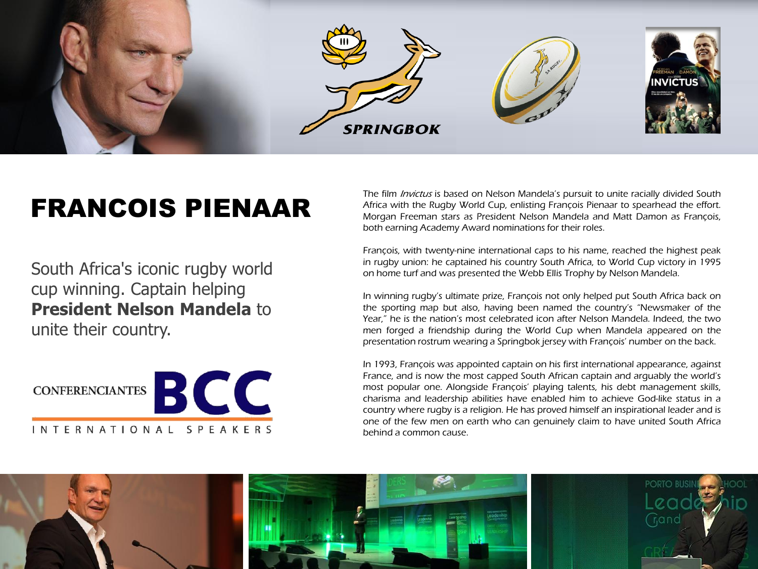

## FRANCOIS PIENAAR

South Africa's iconic rugby world cup winning. Captain helping **President Nelson Mandela** to unite their country.



The film *Invictus* is based on Nelson Mandela's pursuit to unite racially divided South Africa with the Rugby World Cup, enlisting François Pienaar to spearhead the effort. Morgan Freeman stars as President Nelson Mandela and Matt Damon as François, both earning Academy Award nominations for their roles.

François, with twenty-nine international caps to his name, reached the highest peak in rugby union: he captained his country South Africa, to World Cup victory in 1995 on home turf and was presented the Webb Ellis Trophy by Nelson Mandela.

In winning rugby's ultimate prize, François not only helped put South Africa back on the sporting map but also, having been named the country's "Newsmaker of the Year," he is the nation's most celebrated icon after Nelson Mandela. Indeed, the two men forged a friendship during the World Cup when Mandela appeared on the presentation rostrum wearing a Springbok jersey with François' number on the back.

In 1993, François was appointed captain on his first international appearance, against France, and is now the most capped South African captain and arguably the world's most popular one. Alongside François' playing talents, his debt management skills, charisma and leadership abilities have enabled him to achieve God-like status in a country where rugby is a religion. He has proved himself an inspirational leader and is one of the few men on earth who can genuinely claim to have united South Africa behind a common cause.